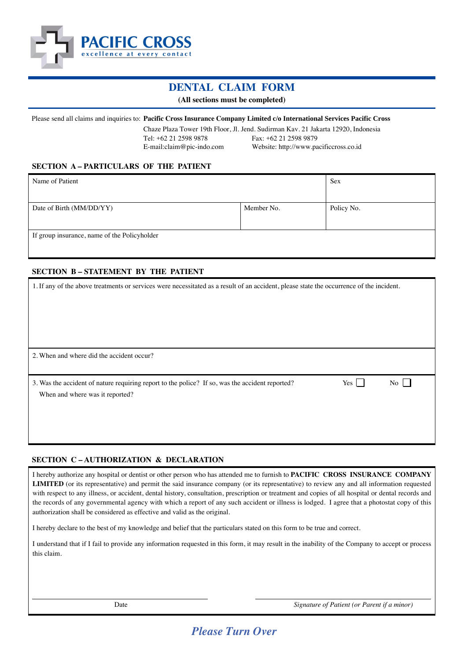

# **DENTAL CLAIM FORM**

**(All sections must be completed)**

#### Please send all claims and inquiries to: **Pacific Cross Insurance Company Limited c/o International Services Pacific Cross**

Chaze Plaza Tower 19th Floor, Jl. Jend. Sudirman Kav. 21 Jakarta 12920, Indonesia Tel: +62 21 2598 9878 Fax: +62 21 2598 9879 E-mail:claim@pic-indo.com Website: http://www.pacificcross.co.id

### **SECTION A – PARTICULARS OF THE PATIENT**

| Name of Patient                              | <b>Sex</b> |            |  |  |  |
|----------------------------------------------|------------|------------|--|--|--|
|                                              |            |            |  |  |  |
| Date of Birth (MM/DD/YY)                     | Member No. | Policy No. |  |  |  |
|                                              |            |            |  |  |  |
| If group insurance, name of the Policyholder |            |            |  |  |  |
|                                              |            |            |  |  |  |

## **SECTION B – STATEMENT BY THE PATIENT**

| 1. If any of the above treatments or services were necessitated as a result of an accident, please state the occurrence of the incident.                          |  |
|-------------------------------------------------------------------------------------------------------------------------------------------------------------------|--|
| 2. When and where did the accident occur?                                                                                                                         |  |
| 3. Was the accident of nature requiring report to the police? If so, was the accident reported?<br>Yes  <br>$\overline{N_{0}}$<br>When and where was it reported? |  |

### **SECTION C – AUTHORIZATION & DECLARATION**

I hereby authorize any hospital or dentist or other person who has attended me to furnish to **PACIFIC CROSS INSURANCE COMPANY LIMITED** (or its representative) and permit the said insurance company (or its representative) to review any and all information requested with respect to any illness, or accident, dental history, consultation, prescription or treatment and copies of all hospital or dental records and the records of any governmental agency with which a report of any such accident or illness is lodged. I agree that a photostat copy of this authorization shall be considered as effective and valid as the original.

I hereby declare to the best of my knowledge and belief that the particulars stated on this form to be true and correct.

I understand that if I fail to provide any information requested in this form, it may result in the inability of the Company to accept or process this claim.

Date *Signature of Patient (or Parent if a minor)*